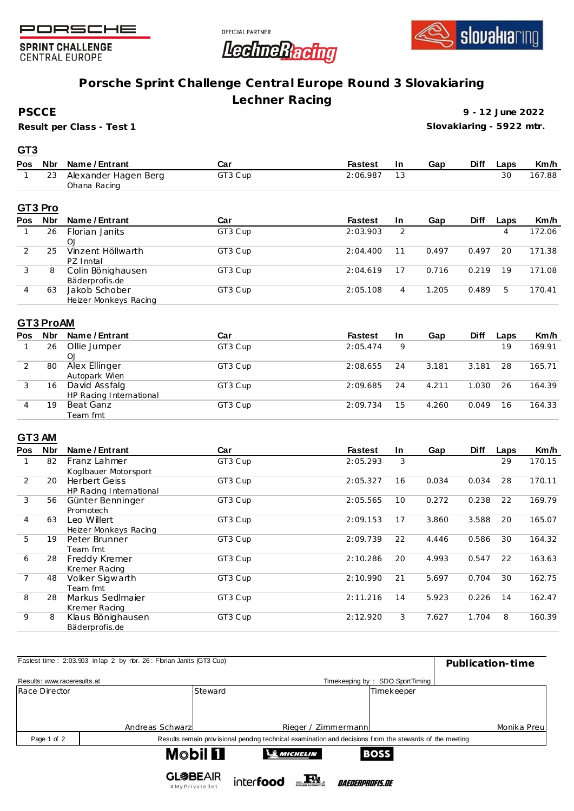





**SPRINT CHALLENGE CENTRAL EUROPE** 

# **Porsche Sprint Challenge Central Europe Round 3 Slovakiaring**

**Lechner Racing**

**PSCCE**

**GT3**

**Result per Class - Test 1**

**9 - 12 June 2022 Slovakiaring - 5922 mtr.**

| Pos | <b>Nbr</b> | Name / Entrant                       | Car     | <b>Fastest</b> | In. | Gap   | <b>Diff</b> | Laps | Km/h   |
|-----|------------|--------------------------------------|---------|----------------|-----|-------|-------------|------|--------|
|     | 23         | Alexander Hagen Berg<br>Ohana Racing | GT3 Cup | 2:06.987       | 13  |       |             | 30   | 167.88 |
|     | GT3 Pro    |                                      |         |                |     |       |             |      |        |
| Pos | <b>Nbr</b> | Name / Entrant                       | Car     | <b>Fastest</b> | In. | Gap   | <b>Diff</b> | Laps | Km/h   |
|     | 26         | Florian Janits                       | GT3 Cup | 2:03.903       | 2   |       |             | 4    | 172.06 |
|     |            | O <sub>1</sub>                       |         |                |     |       |             |      |        |
| 2   | 25         | Vinzent Höllwarth                    | GT3 Cup | 2:04.400       | 11  | 0.497 | 0.497       | 20   | 171.38 |
|     |            | PZ Inntal                            |         |                |     |       |             |      |        |
| 3   | 8          | Colin Bönighausen                    | GT3 Cup | 2:04.619       | 17  | 0.716 | 0.219       | 19   | 171.08 |
|     |            | Bäderprofis.de                       |         |                |     |       |             |      |        |
| 4   | 63         | Jakob Schober                        | GT3 Cup | 2:05.108       | 4   | 1.205 | 0.489       | 5    | 170.41 |
|     |            | Heizer Monkeys Racing                |         |                |     |       |             |      |        |

### **GT3 ProAM**

| Pos | <b>Nbr</b> | Name / Entrant          | Car     | <b>Fastest</b> | <b>In</b> | Gap   | <b>Diff</b> | Laps | Km/h   |
|-----|------------|-------------------------|---------|----------------|-----------|-------|-------------|------|--------|
|     | 26         | Ollie Jumper            | GT3 Cup | 2:05.474       | 9         |       |             | 19   | 169.91 |
|     |            | O <sub>1</sub>          |         |                |           |       |             |      |        |
|     | 80         | Alex Ellinger           | GT3 Cup | 2:08.655       | 24        | 3.181 | 3.181       | 28   | 165.71 |
|     |            | Autopark Wien           |         |                |           |       |             |      |        |
|     | 16         | David Assfalg           | GT3 Cup | 2:09.685       | 24        | 4.211 | 1.030       | 26   | 164.39 |
|     |            | HP Racing International |         |                |           |       |             |      |        |
|     | 19         | Beat Ganz               | GT3 Cup | 2:09.734       | 15        | 4.260 | 0.049       | 16   | 164.33 |
|     |            | Team fmt                |         |                |           |       |             |      |        |

### **GT3 AM**

| Pos | <b>Nbr</b> | Name / Entrant          | Car     | <b>Fastest</b> | In | Gap   | <b>Diff</b> | Laps | Km/h   |
|-----|------------|-------------------------|---------|----------------|----|-------|-------------|------|--------|
|     | 82         | Franz Lahmer            | GT3 Cup | 2:05.293       | 3  |       |             | 29   | 170.15 |
|     |            | Koglbauer Motorsport    |         |                |    |       |             |      |        |
| 2   | 20         | <b>Herbert Geiss</b>    | GT3 Cup | 2:05.327       | 16 | 0.034 | 0.034       | 28   | 170.11 |
|     |            | HP Racing International |         |                |    |       |             |      |        |
| 3   | 56         | Günter Benninger        | GT3 Cup | 2:05.565       | 10 | 0.272 | 0.238       | 22   | 169.79 |
|     |            | Promotech               |         |                |    |       |             |      |        |
| 4   | 63         | Leo Willert             | GT3 Cup | 2:09.153       | 17 | 3.860 | 3.588       | 20   | 165.07 |
|     |            | Heizer Monkeys Racing   |         |                |    |       |             |      |        |
| 5   | 19         | Peter Brunner           | GT3 Cup | 2:09.739       | 22 | 4.446 | 0.586       | 30   | 164.32 |
|     |            | Team fmt                |         |                |    |       |             |      |        |
| 6   | 28         | Freddy Kremer           | GT3 Cup | 2:10.286       | 20 | 4.993 | 0.547       | 22   | 163.63 |
|     |            | Kremer Racing           |         |                |    |       |             |      |        |
|     | 48         | Volker Sigwarth         | GT3 Cup | 2:10.990       | 21 | 5.697 | 0.704       | 30   | 162.75 |
|     |            | Team fmt                |         |                |    |       |             |      |        |
| 8   | 28         | Markus Sedlmajer        | GT3 Cup | 2:11.216       | 14 | 5.923 | 0.226       | 14   | 162.47 |
|     |            | Kremer Racing           |         |                |    |       |             |      |        |
| 9   | 8          | Klaus Bönighausen       | GT3 Cup | 2:12.920       | 3  | 7.627 | 1.704       | 8    | 160.39 |
|     |            | Bäderprofis.de          |         |                |    |       |             |      |        |

| Fastest time: 2:03.903 in lap 2 by rbr. 26: Florian Janits (GT3 Cup) | Publication-time |                                                                                                         |                               |                                 |             |
|----------------------------------------------------------------------|------------------|---------------------------------------------------------------------------------------------------------|-------------------------------|---------------------------------|-------------|
|                                                                      |                  |                                                                                                         |                               |                                 |             |
| Results: www.raceresults.at                                          |                  |                                                                                                         |                               | Timekeeping by: SDO SportTiming |             |
| Race Director                                                        | Steward          |                                                                                                         |                               | Timekeeper                      |             |
|                                                                      |                  |                                                                                                         |                               |                                 |             |
|                                                                      |                  |                                                                                                         |                               |                                 |             |
|                                                                      |                  |                                                                                                         |                               |                                 |             |
|                                                                      | Andreas Schwarzl |                                                                                                         | Rieger / Zimmermann           |                                 | Monika Preu |
| Page 1 of 2                                                          |                  | Results remain provisional pending technical examination and decisions from the stewards of the meeting |                               |                                 |             |
|                                                                      | <b>Mobil Fl</b>  | <b>SO MICHELIN</b>                                                                                      |                               | <b>BOSS</b>                     |             |
|                                                                      |                  |                                                                                                         |                               |                                 |             |
|                                                                      | <b>GL参BEAIR</b>  |                                                                                                         |                               |                                 |             |
|                                                                      | #MyPrivateJet    | interfood                                                                                               | <i><b>BAEDERPROFIS.DE</b></i> |                                 |             |